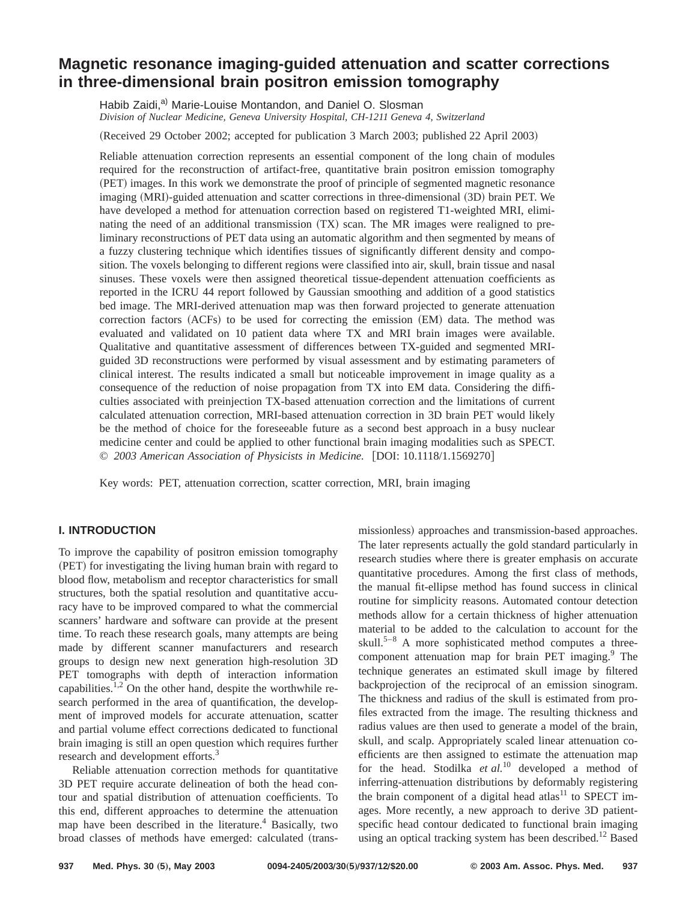# **Magnetic resonance imaging-guided attenuation and scatter corrections in three-dimensional brain positron emission tomography**

Habib Zaidi,<sup>a)</sup> Marie-Louise Montandon, and Daniel O. Slosman *Division of Nuclear Medicine, Geneva University Hospital, CH-1211 Geneva 4, Switzerland*

(Received 29 October 2002; accepted for publication 3 March 2003; published 22 April 2003)

Reliable attenuation correction represents an essential component of the long chain of modules required for the reconstruction of artifact-free, quantitative brain positron emission tomography (PET) images. In this work we demonstrate the proof of principle of segmented magnetic resonance imaging (MRI)-guided attenuation and scatter corrections in three-dimensional (3D) brain PET. We have developed a method for attenuation correction based on registered T1-weighted MRI, eliminating the need of an additional transmission  $(TX)$  scan. The MR images were realigned to preliminary reconstructions of PET data using an automatic algorithm and then segmented by means of a fuzzy clustering technique which identifies tissues of significantly different density and composition. The voxels belonging to different regions were classified into air, skull, brain tissue and nasal sinuses. These voxels were then assigned theoretical tissue-dependent attenuation coefficients as reported in the ICRU 44 report followed by Gaussian smoothing and addition of a good statistics bed image. The MRI-derived attenuation map was then forward projected to generate attenuation correction factors  $(ACFs)$  to be used for correcting the emission  $(EM)$  data. The method was evaluated and validated on 10 patient data where TX and MRI brain images were available. Qualitative and quantitative assessment of differences between TX-guided and segmented MRIguided 3D reconstructions were performed by visual assessment and by estimating parameters of clinical interest. The results indicated a small but noticeable improvement in image quality as a consequence of the reduction of noise propagation from TX into EM data. Considering the difficulties associated with preinjection TX-based attenuation correction and the limitations of current calculated attenuation correction, MRI-based attenuation correction in 3D brain PET would likely be the method of choice for the foreseeable future as a second best approach in a busy nuclear medicine center and could be applied to other functional brain imaging modalities such as SPECT. © 2003 American Association of Physicists in Medicine. [DOI: 10.1118/1.1569270]

Key words: PET, attenuation correction, scatter correction, MRI, brain imaging

# **I. INTRODUCTION**

To improve the capability of positron emission tomography (PET) for investigating the living human brain with regard to blood flow, metabolism and receptor characteristics for small structures, both the spatial resolution and quantitative accuracy have to be improved compared to what the commercial scanners' hardware and software can provide at the present time. To reach these research goals, many attempts are being made by different scanner manufacturers and research groups to design new next generation high-resolution 3D PET tomographs with depth of interaction information capabilities.<sup>1,2</sup> On the other hand, despite the worthwhile research performed in the area of quantification, the development of improved models for accurate attenuation, scatter and partial volume effect corrections dedicated to functional brain imaging is still an open question which requires further research and development efforts.<sup>3</sup>

Reliable attenuation correction methods for quantitative 3D PET require accurate delineation of both the head contour and spatial distribution of attenuation coefficients. To this end, different approaches to determine the attenuation map have been described in the literature.<sup>4</sup> Basically, two broad classes of methods have emerged: calculated (trans-

missionless) approaches and transmission-based approaches. The later represents actually the gold standard particularly in research studies where there is greater emphasis on accurate quantitative procedures. Among the first class of methods, the manual fit-ellipse method has found success in clinical routine for simplicity reasons. Automated contour detection methods allow for a certain thickness of higher attenuation material to be added to the calculation to account for the skull.<sup>5–8</sup> A more sophisticated method computes a threecomponent attenuation map for brain PET imaging.<sup>9</sup> The technique generates an estimated skull image by filtered backprojection of the reciprocal of an emission sinogram. The thickness and radius of the skull is estimated from profiles extracted from the image. The resulting thickness and radius values are then used to generate a model of the brain, skull, and scalp. Appropriately scaled linear attenuation coefficients are then assigned to estimate the attenuation map for the head. Stodilka *et al.*<sup>10</sup> developed a method of inferring-attenuation distributions by deformably registering the brain component of a digital head atlas<sup>11</sup> to SPECT images. More recently, a new approach to derive 3D patientspecific head contour dedicated to functional brain imaging using an optical tracking system has been described.<sup>12</sup> Based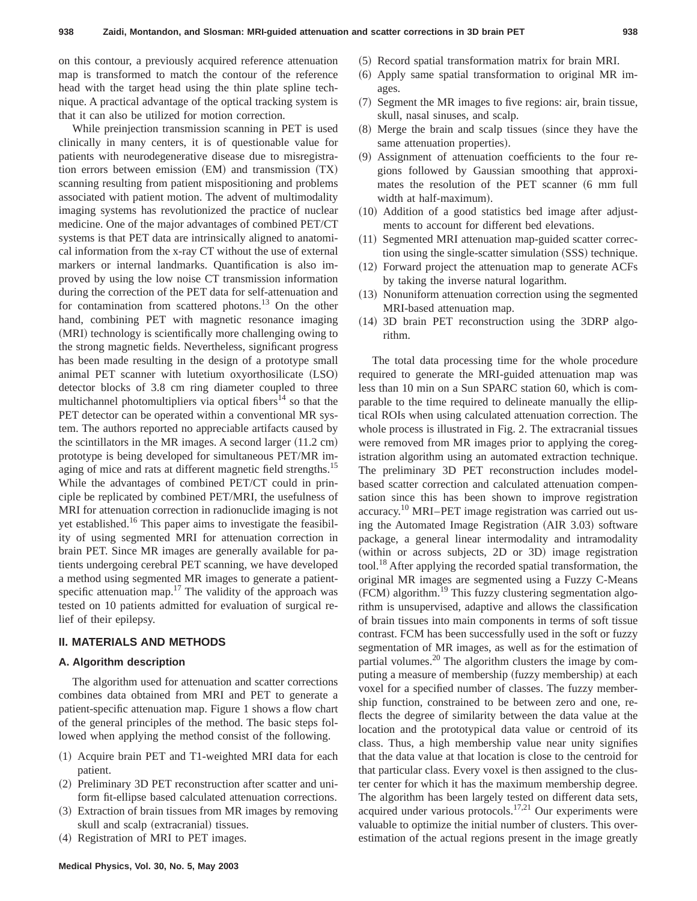on this contour, a previously acquired reference attenuation map is transformed to match the contour of the reference head with the target head using the thin plate spline technique. A practical advantage of the optical tracking system is that it can also be utilized for motion correction.

While preinjection transmission scanning in PET is used clinically in many centers, it is of questionable value for patients with neurodegenerative disease due to misregistration errors between emission  $(EM)$  and transmission  $(TX)$ scanning resulting from patient mispositioning and problems associated with patient motion. The advent of multimodality imaging systems has revolutionized the practice of nuclear medicine. One of the major advantages of combined PET/CT systems is that PET data are intrinsically aligned to anatomical information from the x-ray CT without the use of external markers or internal landmarks. Quantification is also improved by using the low noise CT transmission information during the correction of the PET data for self-attenuation and for contamination from scattered photons.<sup>13</sup> On the other hand, combining PET with magnetic resonance imaging (MRI) technology is scientifically more challenging owing to the strong magnetic fields. Nevertheless, significant progress has been made resulting in the design of a prototype small animal PET scanner with lutetium oxyorthosilicate (LSO) detector blocks of 3.8 cm ring diameter coupled to three multichannel photomultipliers via optical fibers<sup>14</sup> so that the PET detector can be operated within a conventional MR system. The authors reported no appreciable artifacts caused by the scintillators in the MR images. A second larger  $(11.2 \text{ cm})$ prototype is being developed for simultaneous PET/MR imaging of mice and rats at different magnetic field strengths.<sup>15</sup> While the advantages of combined PET/CT could in principle be replicated by combined PET/MRI, the usefulness of MRI for attenuation correction in radionuclide imaging is not yet established.<sup>16</sup> This paper aims to investigate the feasibility of using segmented MRI for attenuation correction in brain PET. Since MR images are generally available for patients undergoing cerebral PET scanning, we have developed a method using segmented MR images to generate a patientspecific attenuation map.<sup>17</sup> The validity of the approach was tested on 10 patients admitted for evaluation of surgical relief of their epilepsy.

# **II. MATERIALS AND METHODS**

# **A. Algorithm description**

The algorithm used for attenuation and scatter corrections combines data obtained from MRI and PET to generate a patient-specific attenuation map. Figure 1 shows a flow chart of the general principles of the method. The basic steps followed when applying the method consist of the following.

- (1) Acquire brain PET and T1-weighted MRI data for each patient.
- (2) Preliminary 3D PET reconstruction after scatter and uniform fit-ellipse based calculated attenuation corrections.
- ~3! Extraction of brain tissues from MR images by removing skull and scalp (extracranial) tissues.
- (4) Registration of MRI to PET images.
- ~5! Record spatial transformation matrix for brain MRI.
- ~6! Apply same spatial transformation to original MR images.
- ~7! Segment the MR images to five regions: air, brain tissue, skull, nasal sinuses, and scalp.
- $(8)$  Merge the brain and scalp tissues (since they have the same attenuation properties).
- ~9! Assignment of attenuation coefficients to the four regions followed by Gaussian smoothing that approximates the resolution of the PET scanner (6 mm full width at half-maximum).
- $(10)$  Addition of a good statistics bed image after adjustments to account for different bed elevations.
- (11) Segmented MRI attenuation map-guided scatter correction using the single-scatter simulation (SSS) technique.
- $(12)$  Forward project the attenuation map to generate ACFs by taking the inverse natural logarithm.
- (13) Nonuniform attenuation correction using the segmented MRI-based attenuation map.
- $(14)$  3D brain PET reconstruction using the 3DRP algorithm.

The total data processing time for the whole procedure required to generate the MRI-guided attenuation map was less than 10 min on a Sun SPARC station 60, which is comparable to the time required to delineate manually the elliptical ROIs when using calculated attenuation correction. The whole process is illustrated in Fig. 2. The extracranial tissues were removed from MR images prior to applying the coregistration algorithm using an automated extraction technique. The preliminary 3D PET reconstruction includes modelbased scatter correction and calculated attenuation compensation since this has been shown to improve registration accuracy.<sup>10</sup> MRI–PET image registration was carried out using the Automated Image Registration  $(AIR 3.03)$  software package, a general linear intermodality and intramodality (within or across subjects,  $2D$  or  $3D$ ) image registration tool.<sup>18</sup> After applying the recorded spatial transformation, the original MR images are segmented using a Fuzzy C-Means  $(FCM)$  algorithm.<sup>19</sup> This fuzzy clustering segmentation algorithm is unsupervised, adaptive and allows the classification of brain tissues into main components in terms of soft tissue contrast. FCM has been successfully used in the soft or fuzzy segmentation of MR images, as well as for the estimation of partial volumes.<sup>20</sup> The algorithm clusters the image by computing a measure of membership (fuzzy membership) at each voxel for a specified number of classes. The fuzzy membership function, constrained to be between zero and one, reflects the degree of similarity between the data value at the location and the prototypical data value or centroid of its class. Thus, a high membership value near unity signifies that the data value at that location is close to the centroid for that particular class. Every voxel is then assigned to the cluster center for which it has the maximum membership degree. The algorithm has been largely tested on different data sets, acquired under various protocols.17,21 Our experiments were valuable to optimize the initial number of clusters. This overestimation of the actual regions present in the image greatly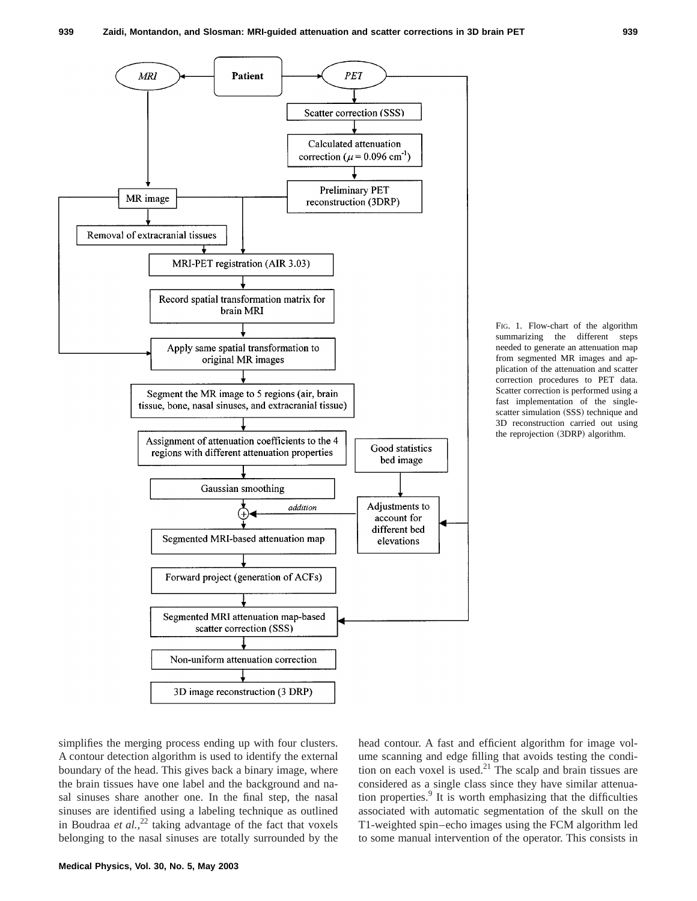

FIG. 1. Flow-chart of the algorithm summarizing the different steps needed to generate an attenuation map from segmented MR images and application of the attenuation and scatter correction procedures to PET data. Scatter correction is performed using a fast implementation of the singlescatter simulation (SSS) technique and 3D reconstruction carried out using the reprojection (3DRP) algorithm.

simplifies the merging process ending up with four clusters. A contour detection algorithm is used to identify the external boundary of the head. This gives back a binary image, where the brain tissues have one label and the background and nasal sinuses share another one. In the final step, the nasal sinuses are identified using a labeling technique as outlined in Boudraa *et al.*, <sup>22</sup> taking advantage of the fact that voxels belonging to the nasal sinuses are totally surrounded by the

head contour. A fast and efficient algorithm for image volume scanning and edge filling that avoids testing the condition on each voxel is used.<sup>21</sup> The scalp and brain tissues are considered as a single class since they have similar attenuation properties.9 It is worth emphasizing that the difficulties associated with automatic segmentation of the skull on the T1-weighted spin–echo images using the FCM algorithm led to some manual intervention of the operator. This consists in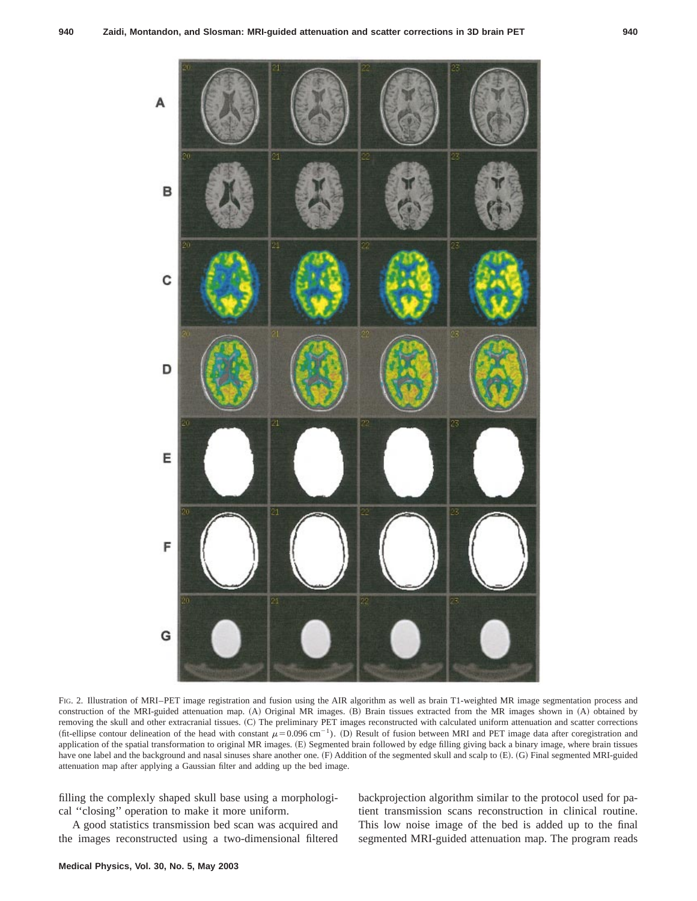

FIG. 2. Illustration of MRI–PET image registration and fusion using the AIR algorithm as well as brain T1-weighted MR image segmentation process and construction of the MRI-guided attenuation map. (A) Original MR images. (B) Brain tissues extracted from the MR images shown in (A) obtained by removing the skull and other extracranial tissues. (C) The preliminary PET images reconstructed with calculated uniform attenuation and scatter corrections (fit-ellipse contour delineation of the head with constant  $\mu$  = 0.096 cm<sup>-1</sup>). (D) Result of fusion between MRI and PET image data after coregistration and application of the spatial transformation to original MR images. (E) Segmented brain followed by edge filling giving back a binary image, where brain tissues have one label and the background and nasal sinuses share another one. (F) Addition of the segmented skull and scalp to (E). (G) Final segmented MRI-guided attenuation map after applying a Gaussian filter and adding up the bed image.

filling the complexly shaped skull base using a morphological ''closing'' operation to make it more uniform.

A good statistics transmission bed scan was acquired and the images reconstructed using a two-dimensional filtered backprojection algorithm similar to the protocol used for patient transmission scans reconstruction in clinical routine. This low noise image of the bed is added up to the final segmented MRI-guided attenuation map. The program reads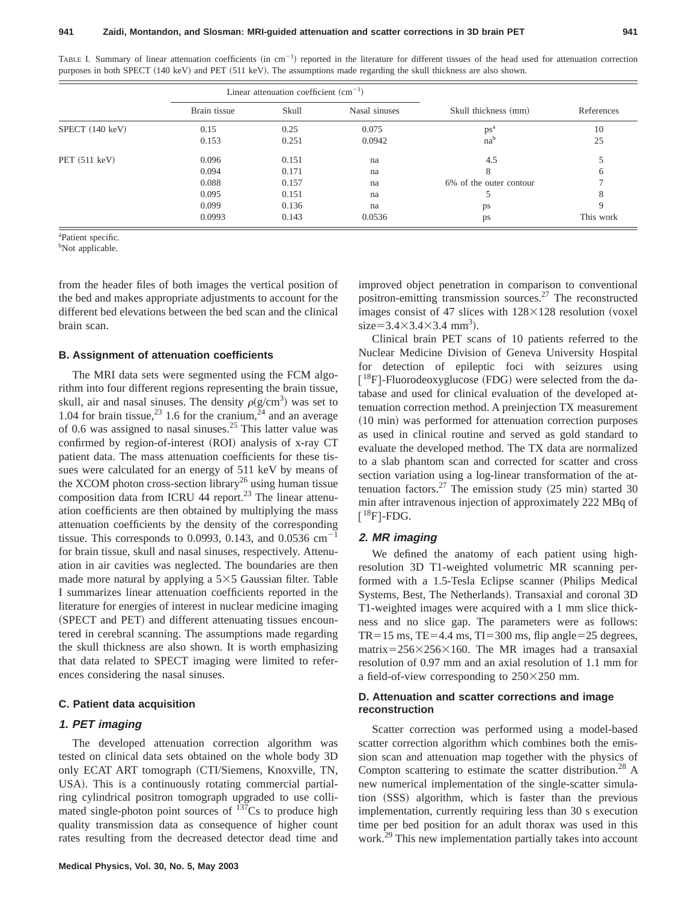TABLE I. Summary of linear attenuation coefficients (in cm<sup>-1</sup>) reported in the literature for different tissues of the head used for attenuation correction purposes in both SPECT (140 keV) and PET (511 keV). The assumptions made regarding the skull thickness are also shown.

|                         | Linear attenuation coefficient $\text{(cm}^{-1})$ |       |               |                         |            |
|-------------------------|---------------------------------------------------|-------|---------------|-------------------------|------------|
|                         | Brain tissue                                      | Skull | Nasal sinuses | Skull thickness (mm)    | References |
| SPECT (140 keV)         | 0.15                                              | 0.25  | 0.075         | $ps^a$                  | 10         |
|                         | 0.153                                             | 0.251 | 0.0942        | $na^{\circ}$            | 25         |
| PET $(511 \text{ keV})$ | 0.096                                             | 0.151 | na            | 4.5                     |            |
|                         | 0.094                                             | 0.171 | na            | 8                       | 6          |
|                         | 0.088                                             | 0.157 | na            | 6% of the outer contour | ⇁          |
|                         | 0.095                                             | 0.151 | na            |                         | 8          |
|                         | 0.099                                             | 0.136 | na            | ps                      | 9          |
|                         | 0.0993                                            | 0.143 | 0.0536        | ps                      | This work  |

<sup>a</sup>Patient specific.

<sup>b</sup>Not applicable.

from the header files of both images the vertical position of the bed and makes appropriate adjustments to account for the different bed elevations between the bed scan and the clinical brain scan.

#### **B. Assignment of attenuation coefficients**

The MRI data sets were segmented using the FCM algorithm into four different regions representing the brain tissue, skull, air and nasal sinuses. The density  $\rho(g/cm^3)$  was set to 1.04 for brain tissue,<sup>23</sup> 1.6 for the cranium,<sup>24</sup> and an average of 0.6 was assigned to nasal sinuses.<sup>25</sup> This latter value was confirmed by region-of-interest  $(ROI)$  analysis of x-ray CT patient data. The mass attenuation coefficients for these tissues were calculated for an energy of 511 keV by means of the XCOM photon cross-section library<sup>26</sup> using human tissue composition data from ICRU 44 report.<sup>23</sup> The linear attenuation coefficients are then obtained by multiplying the mass attenuation coefficients by the density of the corresponding tissue. This corresponds to 0.0993, 0.143, and 0.0536  $cm^{-1}$ for brain tissue, skull and nasal sinuses, respectively. Attenuation in air cavities was neglected. The boundaries are then made more natural by applying a  $5\times 5$  Gaussian filter. Table I summarizes linear attenuation coefficients reported in the literature for energies of interest in nuclear medicine imaging (SPECT and PET) and different attenuating tissues encountered in cerebral scanning. The assumptions made regarding the skull thickness are also shown. It is worth emphasizing that data related to SPECT imaging were limited to references considering the nasal sinuses.

#### **C. Patient data acquisition**

# **1. PET imaging**

The developed attenuation correction algorithm was tested on clinical data sets obtained on the whole body 3D only ECAT ART tomograph (CTI/Siemens, Knoxville, TN, USA). This is a continuously rotating commercial partialring cylindrical positron tomograph upgraded to use collimated single-photon point sources of  $137Cs$  to produce high quality transmission data as consequence of higher count rates resulting from the decreased detector dead time and improved object penetration in comparison to conventional positron-emitting transmission sources.27 The reconstructed images consist of 47 slices with  $128\times128$  resolution (voxel  $size=3.4\times3.4\times3.4$  mm<sup>3</sup>).

Clinical brain PET scans of 10 patients referred to the Nuclear Medicine Division of Geneva University Hospital for detection of epileptic foci with seizures using  $[{}^{18}F]$ -Fluorodeoxyglucose (FDG) were selected from the database and used for clinical evaluation of the developed attenuation correction method. A preinjection TX measurement  $(10 \text{ min})$  was performed for attenuation correction purposes as used in clinical routine and served as gold standard to evaluate the developed method. The TX data are normalized to a slab phantom scan and corrected for scatter and cross section variation using a log-linear transformation of the attenuation factors.<sup>27</sup> The emission study  $(25 \text{ min})$  started 30 min after intravenous injection of approximately 222 MBq of  $\lceil$ <sup>18</sup>F]-FDG.

## **2. MR imaging**

We defined the anatomy of each patient using highresolution 3D T1-weighted volumetric MR scanning performed with a 1.5-Tesla Eclipse scanner (Philips Medical Systems, Best, The Netherlands). Transaxial and coronal 3D T1-weighted images were acquired with a 1 mm slice thickness and no slice gap. The parameters were as follows:  $TR=15$  ms,  $TE=4.4$  ms,  $TI=300$  ms, flip angle $=25$  degrees, matrix= $256\times256\times160$ . The MR images had a transaxial resolution of 0.97 mm and an axial resolution of 1.1 mm for a field-of-view corresponding to  $250\times250$  mm.

## **D. Attenuation and scatter corrections and image reconstruction**

Scatter correction was performed using a model-based scatter correction algorithm which combines both the emission scan and attenuation map together with the physics of Compton scattering to estimate the scatter distribution.<sup>28</sup> A new numerical implementation of the single-scatter simulation (SSS) algorithm, which is faster than the previous implementation, currently requiring less than 30 s execution time per bed position for an adult thorax was used in this work.<sup>29</sup> This new implementation partially takes into account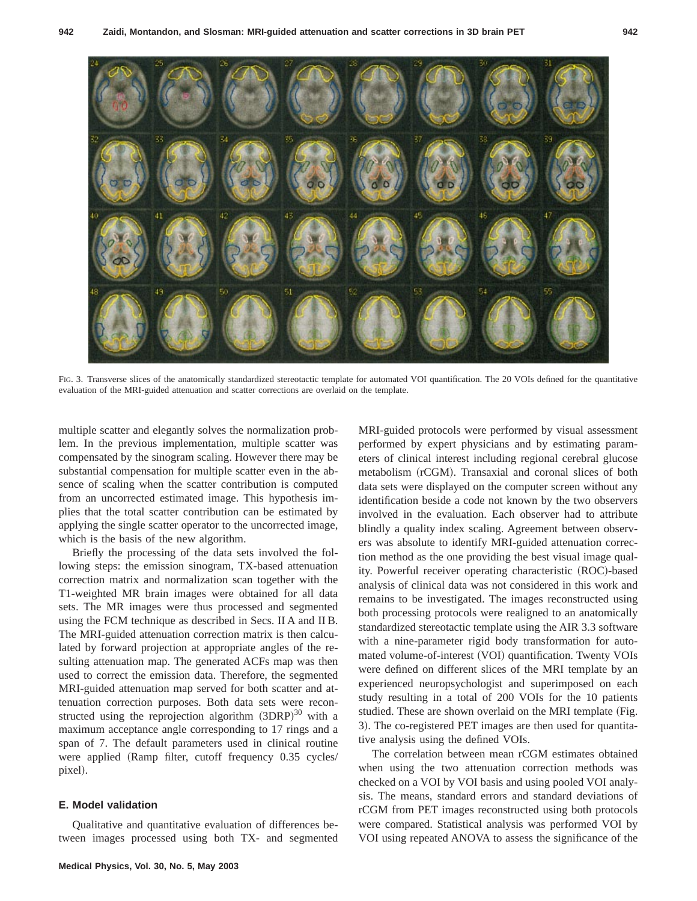

FIG. 3. Transverse slices of the anatomically standardized stereotactic template for automated VOI quantification. The 20 VOIs defined for the quantitative evaluation of the MRI-guided attenuation and scatter corrections are overlaid on the template.

multiple scatter and elegantly solves the normalization problem. In the previous implementation, multiple scatter was compensated by the sinogram scaling. However there may be substantial compensation for multiple scatter even in the absence of scaling when the scatter contribution is computed from an uncorrected estimated image. This hypothesis implies that the total scatter contribution can be estimated by applying the single scatter operator to the uncorrected image, which is the basis of the new algorithm.

Briefly the processing of the data sets involved the following steps: the emission sinogram, TX-based attenuation correction matrix and normalization scan together with the T1-weighted MR brain images were obtained for all data sets. The MR images were thus processed and segmented using the FCM technique as described in Secs. II A and II B. The MRI-guided attenuation correction matrix is then calculated by forward projection at appropriate angles of the resulting attenuation map. The generated ACFs map was then used to correct the emission data. Therefore, the segmented MRI-guided attenuation map served for both scatter and attenuation correction purposes. Both data sets were reconstructed using the reprojection algorithm  $(3DRP)^{30}$  with a maximum acceptance angle corresponding to 17 rings and a span of 7. The default parameters used in clinical routine were applied (Ramp filter, cutoff frequency 0.35 cycles/ pixel).

## **E. Model validation**

Qualitative and quantitative evaluation of differences between images processed using both TX- and segmented MRI-guided protocols were performed by visual assessment performed by expert physicians and by estimating parameters of clinical interest including regional cerebral glucose metabolism (rCGM). Transaxial and coronal slices of both data sets were displayed on the computer screen without any identification beside a code not known by the two observers involved in the evaluation. Each observer had to attribute blindly a quality index scaling. Agreement between observers was absolute to identify MRI-guided attenuation correction method as the one providing the best visual image quality. Powerful receiver operating characteristic (ROC)-based analysis of clinical data was not considered in this work and remains to be investigated. The images reconstructed using both processing protocols were realigned to an anatomically standardized stereotactic template using the AIR 3.3 software with a nine-parameter rigid body transformation for automated volume-of-interest (VOI) quantification. Twenty VOIs were defined on different slices of the MRI template by an experienced neuropsychologist and superimposed on each study resulting in a total of 200 VOIs for the 10 patients studied. These are shown overlaid on the MRI template (Fig. 3). The co-registered PET images are then used for quantitative analysis using the defined VOIs.

The correlation between mean rCGM estimates obtained when using the two attenuation correction methods was checked on a VOI by VOI basis and using pooled VOI analysis. The means, standard errors and standard deviations of rCGM from PET images reconstructed using both protocols were compared. Statistical analysis was performed VOI by VOI using repeated ANOVA to assess the significance of the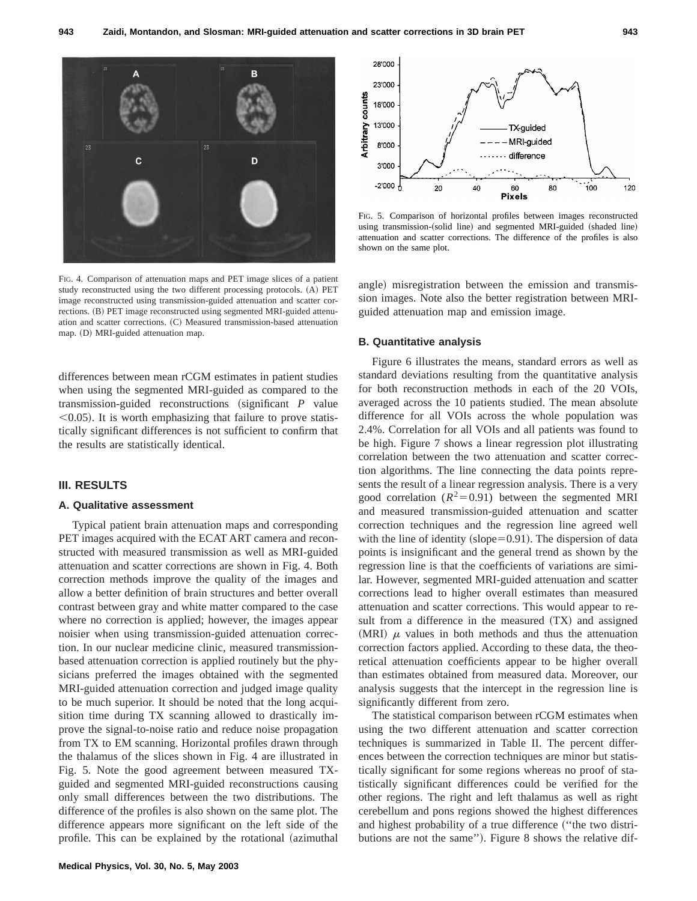

FIG. 4. Comparison of attenuation maps and PET image slices of a patient study reconstructed using the two different processing protocols. (A) PET image reconstructed using transmission-guided attenuation and scatter corrections. (B) PET image reconstructed using segmented MRI-guided attenuation and scatter corrections.  $(C)$  Measured transmission-based attenuation map. (D) MRI-guided attenuation map.

differences between mean rCGM estimates in patient studies when using the segmented MRI-guided as compared to the transmission-guided reconstructions (significant *P* value  $<$ 0.05). It is worth emphasizing that failure to prove statistically significant differences is not sufficient to confirm that the results are statistically identical.

# **III. RESULTS**

#### **A. Qualitative assessment**

Typical patient brain attenuation maps and corresponding PET images acquired with the ECAT ART camera and reconstructed with measured transmission as well as MRI-guided attenuation and scatter corrections are shown in Fig. 4. Both correction methods improve the quality of the images and allow a better definition of brain structures and better overall contrast between gray and white matter compared to the case where no correction is applied; however, the images appear noisier when using transmission-guided attenuation correction. In our nuclear medicine clinic, measured transmissionbased attenuation correction is applied routinely but the physicians preferred the images obtained with the segmented MRI-guided attenuation correction and judged image quality to be much superior. It should be noted that the long acquisition time during TX scanning allowed to drastically improve the signal-to-noise ratio and reduce noise propagation from TX to EM scanning. Horizontal profiles drawn through the thalamus of the slices shown in Fig. 4 are illustrated in Fig. 5. Note the good agreement between measured TXguided and segmented MRI-guided reconstructions causing only small differences between the two distributions. The difference of the profiles is also shown on the same plot. The difference appears more significant on the left side of the profile. This can be explained by the rotational (azimuthal



FIG. 5. Comparison of horizontal profiles between images reconstructed using transmission-(solid line) and segmented MRI-guided (shaded line) attenuation and scatter corrections. The difference of the profiles is also shown on the same plot.

angle) misregistration between the emission and transmission images. Note also the better registration between MRIguided attenuation map and emission image.

#### **B. Quantitative analysis**

Figure 6 illustrates the means, standard errors as well as standard deviations resulting from the quantitative analysis for both reconstruction methods in each of the 20 VOIs, averaged across the 10 patients studied. The mean absolute difference for all VOIs across the whole population was 2.4%. Correlation for all VOIs and all patients was found to be high. Figure 7 shows a linear regression plot illustrating correlation between the two attenuation and scatter correction algorithms. The line connecting the data points represents the result of a linear regression analysis. There is a very good correlation  $(R^2=0.91)$  between the segmented MRI and measured transmission-guided attenuation and scatter correction techniques and the regression line agreed well with the line of identity (slope= $0.91$ ). The dispersion of data points is insignificant and the general trend as shown by the regression line is that the coefficients of variations are similar. However, segmented MRI-guided attenuation and scatter corrections lead to higher overall estimates than measured attenuation and scatter corrections. This would appear to result from a difference in the measured (TX) and assigned (MRI)  $\mu$  values in both methods and thus the attenuation correction factors applied. According to these data, the theoretical attenuation coefficients appear to be higher overall than estimates obtained from measured data. Moreover, our analysis suggests that the intercept in the regression line is significantly different from zero.

The statistical comparison between rCGM estimates when using the two different attenuation and scatter correction techniques is summarized in Table II. The percent differences between the correction techniques are minor but statistically significant for some regions whereas no proof of statistically significant differences could be verified for the other regions. The right and left thalamus as well as right cerebellum and pons regions showed the highest differences and highest probability of a true difference ("the two distributions are not the same"). Figure 8 shows the relative dif-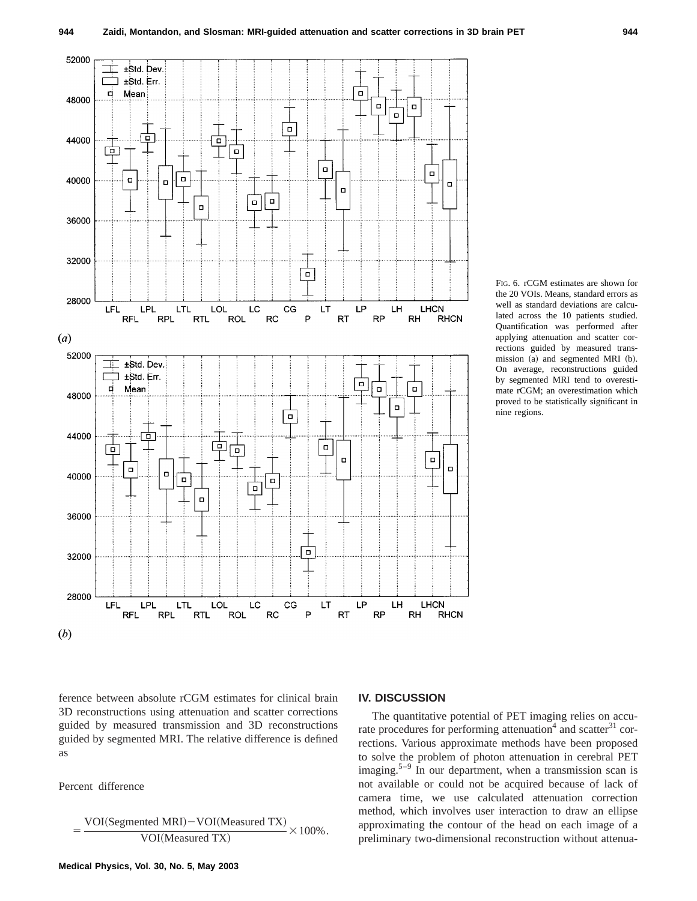

FIG. 6. rCGM estimates are shown for the 20 VOIs. Means, standard errors as well as standard deviations are calculated across the 10 patients studied. Quantification was performed after applying attenuation and scatter corrections guided by measured transmission (a) and segmented MRI (b). On average, reconstructions guided by segmented MRI tend to overestimate rCGM; an overestimation which proved to be statistically significant in nine regions.

ference between absolute rCGM estimates for clinical brain 3D reconstructions using attenuation and scatter corrections guided by measured transmission and 3D reconstructions guided by segmented MRI. The relative difference is defined as

Percent difference

$$
= \frac{\text{VOI(Segmented MRI)} - \text{VOI(Measured TX)}}{\text{VOI(Measured TX)}} \times 100\%.
$$

#### **IV. DISCUSSION**

The quantitative potential of PET imaging relies on accurate procedures for performing attenuation<sup>4</sup> and scatter<sup>31</sup> corrections. Various approximate methods have been proposed to solve the problem of photon attenuation in cerebral PET imaging.<sup>5–9</sup> In our department, when a transmission scan is not available or could not be acquired because of lack of camera time, we use calculated attenuation correction method, which involves user interaction to draw an ellipse approximating the contour of the head on each image of a preliminary two-dimensional reconstruction without attenua-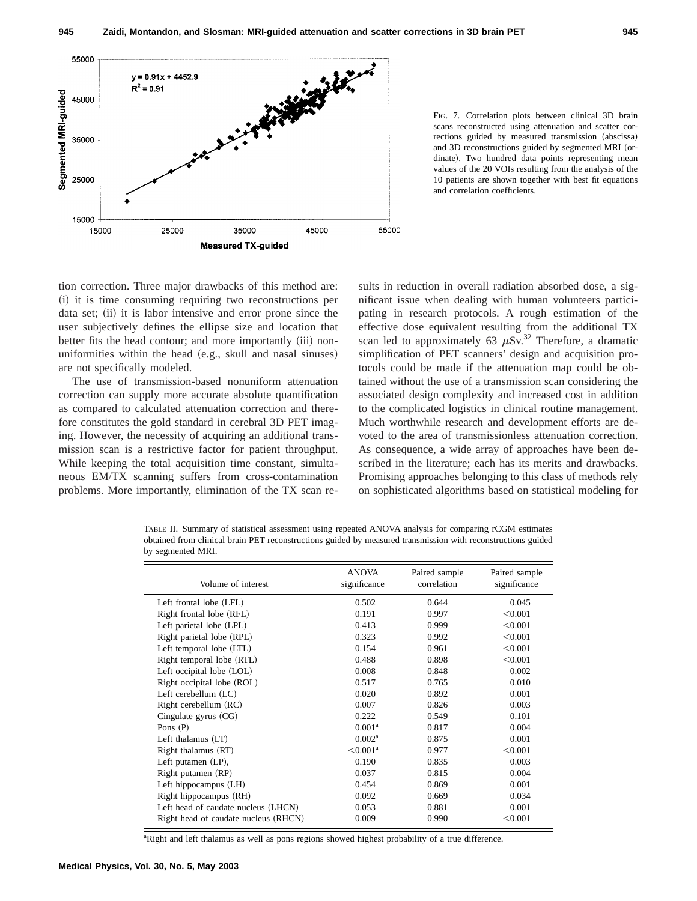

FIG. 7. Correlation plots between clinical 3D brain scans reconstructed using attenuation and scatter corrections guided by measured transmission (abscissa) and 3D reconstructions guided by segmented MRI (ordinate). Two hundred data points representing mean values of the 20 VOIs resulting from the analysis of the 10 patients are shown together with best fit equations and correlation coefficients.

tion correction. Three major drawbacks of this method are: ~i! it is time consuming requiring two reconstructions per data set; (ii) it is labor intensive and error prone since the user subjectively defines the ellipse size and location that better fits the head contour; and more importantly (iii) nonuniformities within the head  $(e.g., \, skull$  and nasal sinuses) are not specifically modeled.

The use of transmission-based nonuniform attenuation correction can supply more accurate absolute quantification as compared to calculated attenuation correction and therefore constitutes the gold standard in cerebral 3D PET imaging. However, the necessity of acquiring an additional transmission scan is a restrictive factor for patient throughput. While keeping the total acquisition time constant, simultaneous EM/TX scanning suffers from cross-contamination problems. More importantly, elimination of the TX scan results in reduction in overall radiation absorbed dose, a significant issue when dealing with human volunteers participating in research protocols. A rough estimation of the effective dose equivalent resulting from the additional TX scan led to approximately 63  $\mu$ Sv.<sup>32</sup> Therefore, a dramatic simplification of PET scanners' design and acquisition protocols could be made if the attenuation map could be obtained without the use of a transmission scan considering the associated design complexity and increased cost in addition to the complicated logistics in clinical routine management. Much worthwhile research and development efforts are devoted to the area of transmissionless attenuation correction. As consequence, a wide array of approaches have been described in the literature; each has its merits and drawbacks. Promising approaches belonging to this class of methods rely on sophisticated algorithms based on statistical modeling for

TABLE II. Summary of statistical assessment using repeated ANOVA analysis for comparing rCGM estimates obtained from clinical brain PET reconstructions guided by measured transmission with reconstructions guided by segmented MRI.

| Volume of interest                   | <b>ANOVA</b><br>significance | Paired sample<br>correlation | Paired sample<br>significance |
|--------------------------------------|------------------------------|------------------------------|-------------------------------|
| Left frontal lobe (LFL)              | 0.502                        | 0.644                        | 0.045                         |
| Right frontal lobe (RFL)             | 0.191                        | 0.997                        | < 0.001                       |
| Left parietal lobe (LPL)             | 0.413                        | 0.999                        | < 0.001                       |
| Right parietal lobe (RPL)            | 0.323                        | 0.992                        | < 0.001                       |
| Left temporal lobe (LTL)             | 0.154                        | 0.961                        | < 0.001                       |
| Right temporal lobe (RTL)            | 0.488                        | 0.898                        | < 0.001                       |
| Left occipital lobe (LOL)            | 0.008                        | 0.848                        | 0.002                         |
| Right occipital lobe (ROL)           | 0.517                        | 0.765                        | 0.010                         |
| Left cerebellum $(LC)$               | 0.020                        | 0.892                        | 0.001                         |
| Right cerebellum (RC)                | 0.007                        | 0.826                        | 0.003                         |
| Cingulate gyrus (CG)                 | 0.222                        | 0.549                        | 0.101                         |
| Pons $(P)$                           | 0.001 <sup>a</sup>           | 0.817                        | 0.004                         |
| Left thalamus (LT)                   | 0.002 <sup>a</sup>           | 0.875                        | 0.001                         |
| Right thalamus (RT)                  | $< 0.001^a$                  | 0.977                        | < 0.001                       |
| Left putamen $(LP)$ ,                | 0.190                        | 0.835                        | 0.003                         |
| Right putamen (RP)                   | 0.037                        | 0.815                        | 0.004                         |
| Left hippocampus (LH)                | 0.454                        | 0.869                        | 0.001                         |
| Right hippocampus (RH)               | 0.092                        | 0.669                        | 0.034                         |
| Left head of caudate nucleus (LHCN)  | 0.053                        | 0.881                        | 0.001                         |
| Right head of caudate nucleus (RHCN) | 0.009                        | 0.990                        | < 0.001                       |

<sup>a</sup>Right and left thalamus as well as pons regions showed highest probability of a true difference.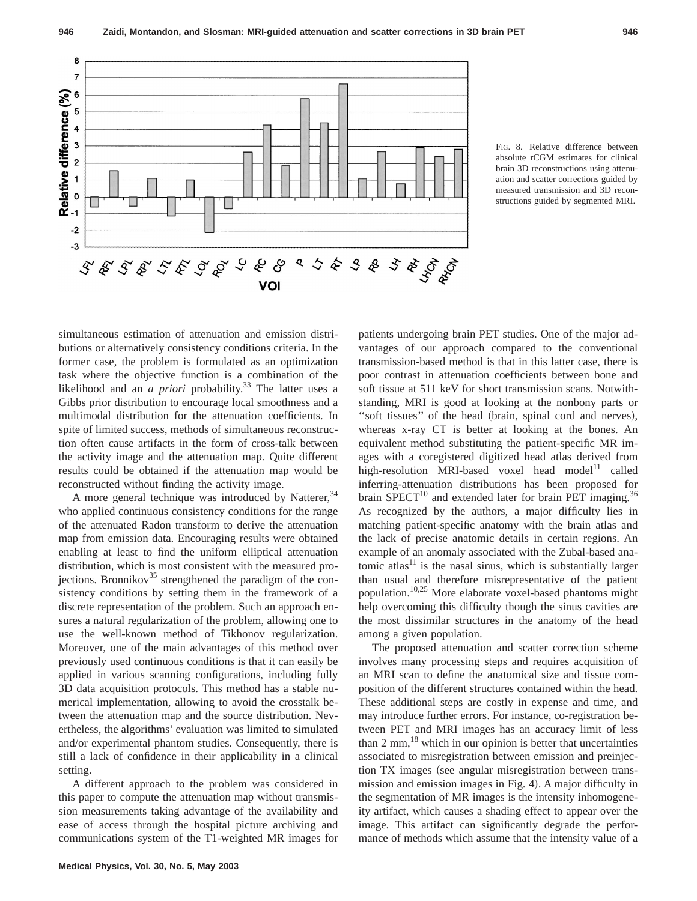

FIG. 8. Relative difference between absolute rCGM estimates for clinical brain 3D reconstructions using attenuation and scatter corrections guided by measured transmission and 3D reconstructions guided by segmented MRI.

simultaneous estimation of attenuation and emission distributions or alternatively consistency conditions criteria. In the former case, the problem is formulated as an optimization task where the objective function is a combination of the likelihood and an *a priori* probability.<sup>33</sup> The latter uses a Gibbs prior distribution to encourage local smoothness and a multimodal distribution for the attenuation coefficients. In spite of limited success, methods of simultaneous reconstruction often cause artifacts in the form of cross-talk between the activity image and the attenuation map. Quite different results could be obtained if the attenuation map would be reconstructed without finding the activity image.

A more general technique was introduced by Natterer, 34 who applied continuous consistency conditions for the range of the attenuated Radon transform to derive the attenuation map from emission data. Encouraging results were obtained enabling at least to find the uniform elliptical attenuation distribution, which is most consistent with the measured projections. Bronnikov<sup>35</sup> strengthened the paradigm of the consistency conditions by setting them in the framework of a discrete representation of the problem. Such an approach ensures a natural regularization of the problem, allowing one to use the well-known method of Tikhonov regularization. Moreover, one of the main advantages of this method over previously used continuous conditions is that it can easily be applied in various scanning configurations, including fully 3D data acquisition protocols. This method has a stable numerical implementation, allowing to avoid the crosstalk between the attenuation map and the source distribution. Nevertheless, the algorithms' evaluation was limited to simulated and/or experimental phantom studies. Consequently, there is still a lack of confidence in their applicability in a clinical setting.

A different approach to the problem was considered in this paper to compute the attenuation map without transmission measurements taking advantage of the availability and ease of access through the hospital picture archiving and communications system of the T1-weighted MR images for patients undergoing brain PET studies. One of the major advantages of our approach compared to the conventional transmission-based method is that in this latter case, there is poor contrast in attenuation coefficients between bone and soft tissue at 511 keV for short transmission scans. Notwithstanding, MRI is good at looking at the nonbony parts or "soft tissues" of the head (brain, spinal cord and nerves), whereas x-ray CT is better at looking at the bones. An equivalent method substituting the patient-specific MR images with a coregistered digitized head atlas derived from high-resolution MRI-based voxel head model<sup>11</sup> called inferring-attenuation distributions has been proposed for brain SPECT<sup>10</sup> and extended later for brain PET imaging.<sup>36</sup> As recognized by the authors, a major difficulty lies in matching patient-specific anatomy with the brain atlas and the lack of precise anatomic details in certain regions. An example of an anomaly associated with the Zubal-based anatomic atlas $11$  is the nasal sinus, which is substantially larger than usual and therefore misrepresentative of the patient population.10,25 More elaborate voxel-based phantoms might help overcoming this difficulty though the sinus cavities are the most dissimilar structures in the anatomy of the head among a given population.

The proposed attenuation and scatter correction scheme involves many processing steps and requires acquisition of an MRI scan to define the anatomical size and tissue composition of the different structures contained within the head. These additional steps are costly in expense and time, and may introduce further errors. For instance, co-registration between PET and MRI images has an accuracy limit of less than  $2 \text{ mm}$ ,<sup>18</sup> which in our opinion is better that uncertainties associated to misregistration between emission and preinjection TX images (see angular misregistration between transmission and emission images in Fig. 4. A major difficulty in the segmentation of MR images is the intensity inhomogeneity artifact, which causes a shading effect to appear over the image. This artifact can significantly degrade the performance of methods which assume that the intensity value of a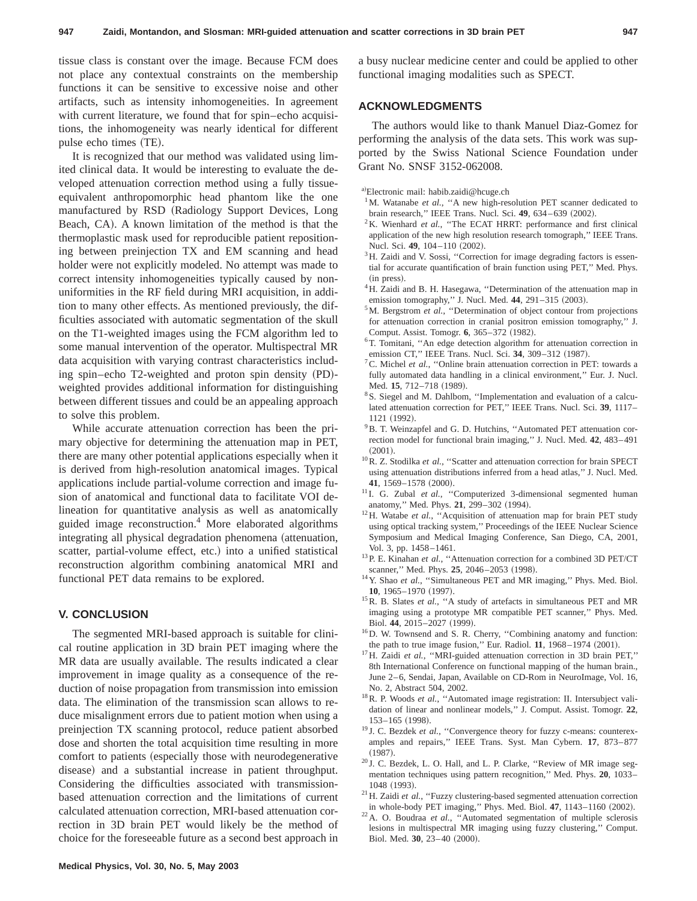tissue class is constant over the image. Because FCM does not place any contextual constraints on the membership functions it can be sensitive to excessive noise and other artifacts, such as intensity inhomogeneities. In agreement with current literature, we found that for spin–echo acquisitions, the inhomogeneity was nearly identical for different pulse echo times (TE).

It is recognized that our method was validated using limited clinical data. It would be interesting to evaluate the developed attenuation correction method using a fully tissueequivalent anthropomorphic head phantom like the one manufactured by RSD (Radiology Support Devices, Long Beach, CA). A known limitation of the method is that the thermoplastic mask used for reproducible patient repositioning between preinjection TX and EM scanning and head holder were not explicitly modeled. No attempt was made to correct intensity inhomogeneities typically caused by nonuniformities in the RF field during MRI acquisition, in addition to many other effects. As mentioned previously, the difficulties associated with automatic segmentation of the skull on the T1-weighted images using the FCM algorithm led to some manual intervention of the operator. Multispectral MR data acquisition with varying contrast characteristics including spin–echo  $T2$ -weighted and proton spin density  $(PD)$ weighted provides additional information for distinguishing between different tissues and could be an appealing approach to solve this problem.

While accurate attenuation correction has been the primary objective for determining the attenuation map in PET, there are many other potential applications especially when it is derived from high-resolution anatomical images. Typical applications include partial-volume correction and image fusion of anatomical and functional data to facilitate VOI delineation for quantitative analysis as well as anatomically guided image reconstruction.4 More elaborated algorithms integrating all physical degradation phenomena (attenuation, scatter, partial-volume effect, etc.) into a unified statistical reconstruction algorithm combining anatomical MRI and functional PET data remains to be explored.

#### **V. CONCLUSION**

The segmented MRI-based approach is suitable for clinical routine application in 3D brain PET imaging where the MR data are usually available. The results indicated a clear improvement in image quality as a consequence of the reduction of noise propagation from transmission into emission data. The elimination of the transmission scan allows to reduce misalignment errors due to patient motion when using a preinjection TX scanning protocol, reduce patient absorbed dose and shorten the total acquisition time resulting in more comfort to patients (especially those with neurodegenerative disease) and a substantial increase in patient throughput. Considering the difficulties associated with transmissionbased attenuation correction and the limitations of current calculated attenuation correction, MRI-based attenuation correction in 3D brain PET would likely be the method of choice for the foreseeable future as a second best approach in

# **ACKNOWLEDGMENTS**

The authors would like to thank Manuel Diaz-Gomez for performing the analysis of the data sets. This work was supported by the Swiss National Science Foundation under Grant No. SNSF 3152-062008.

#### a)Electronic mail: habib.zaidi@hcuge.ch

- <sup>1</sup>M. Watanabe *et al.*, "A new high-resolution PET scanner dedicated to brain research," IEEE Trans. Nucl. Sci. 49, 634-639 (2002).
- <sup>2</sup>K. Wienhard *et al.*, "The ECAT HRRT: performance and first clinical application of the new high resolution research tomograph,'' IEEE Trans. Nucl. Sci. 49, 104-110 (2002).
- <sup>3</sup>H. Zaidi and V. Sossi, "Correction for image degrading factors is essential for accurate quantification of brain function using PET,'' Med. Phys. (in press).
- <sup>4</sup>H. Zaidi and B. H. Hasegawa, "Determination of the attenuation map in emission tomography," J. Nucl. Med. 44, 291-315 (2003).
- <sup>5</sup>M. Bergstrom *et al.*, "Determination of object contour from projections for attenuation correction in cranial positron emission tomography,'' J. Comput. Assist. Tomogr. **6**, 365–372 (1982).
- <sup>6</sup>T. Tomitani, "An edge detection algorithm for attenuation correction in emission CT," IEEE Trans. Nucl. Sci. 34, 309-312 (1987).
- <sup>7</sup>C. Michel *et al.*, "Online brain attenuation correction in PET: towards a fully automated data handling in a clinical environment," Eur. J. Nucl. Med. 15, 712-718 (1989).
- 8S. Siegel and M. Dahlbom, ''Implementation and evaluation of a calculated attenuation correction for PET,'' IEEE Trans. Nucl. Sci. **39**, 1117–  $1121 (1992)$ .
- <sup>9</sup>B. T. Weinzapfel and G. D. Hutchins, "Automated PET attenuation correction model for functional brain imaging,'' J. Nucl. Med. **42**, 483–491  $(2001).$
- <sup>10</sup>R. Z. Stodilka *et al.*, "Scatter and attenuation correction for brain SPECT using attenuation distributions inferred from a head atlas,'' J. Nucl. Med. 41, 1569-1578 (2000).
- <sup>11</sup> I. G. Zubal *et al.*, "Computerized 3-dimensional segmented human anatomy," Med. Phys. 21, 299-302 (1994).
- <sup>12</sup>H. Watabe *et al.*, "Acquisition of attenuation map for brain PET study using optical tracking system,'' Proceedings of the IEEE Nuclear Science Symposium and Medical Imaging Conference, San Diego, CA, 2001, Vol. 3, pp. 1458–1461.
- <sup>13</sup>P. E. Kinahan *et al.*, "Attenuation correction for a combined 3D PET/CT scanner," Med. Phys. **25**, 2046–2053 (1998).
- <sup>14</sup>Y. Shao et al., "Simultaneous PET and MR imaging," Phys. Med. Biol. **10**, 1965-1970 (1997).
- <sup>15</sup>R. B. Slates *et al.*, "A study of artefacts in simultaneous PET and MR imaging using a prototype MR compatible PET scanner,'' Phys. Med. Biol. 44, 2015–2027 (1999).
- <sup>16</sup>D. W. Townsend and S. R. Cherry, "Combining anatomy and function: the path to true image fusion," Eur. Radiol. 11, 1968–1974 (2001).
- <sup>17</sup>H. Zaidi et al., "MRI-guided attenuation correction in 3D brain PET," 8th International Conference on functional mapping of the human brain., June 2–6, Sendai, Japan, Available on CD-Rom in NeuroImage, Vol. 16, No. 2, Abstract 504, 2002.
- <sup>18</sup>R. P. Woods et al., "Automated image registration: II. Intersubject validation of linear and nonlinear models,'' J. Comput. Assist. Tomogr. **22**,  $153 - 165$  (1998).
- <sup>19</sup> J. C. Bezdek et al., "Convergence theory for fuzzy c-means: counterexamples and repairs,'' IEEE Trans. Syst. Man Cybern. **17**, 873–877  $(1987).$
- $20$  J. C. Bezdek, L. O. Hall, and L. P. Clarke, "Review of MR image segmentation techniques using pattern recognition,'' Med. Phys. **20**, 1033– 1048 (1993).
- <sup>21</sup>H. Zaidi et al., "Fuzzy clustering-based segmented attenuation correction in whole-body PET imaging," Phys. Med. Biol. 47, 1143-1160 (2002).
- <sup>22</sup>A. O. Boudraa *et al.*, "Automated segmentation of multiple sclerosis lesions in multispectral MR imaging using fuzzy clustering,'' Comput. Biol. Med. 30, 23-40 (2000).